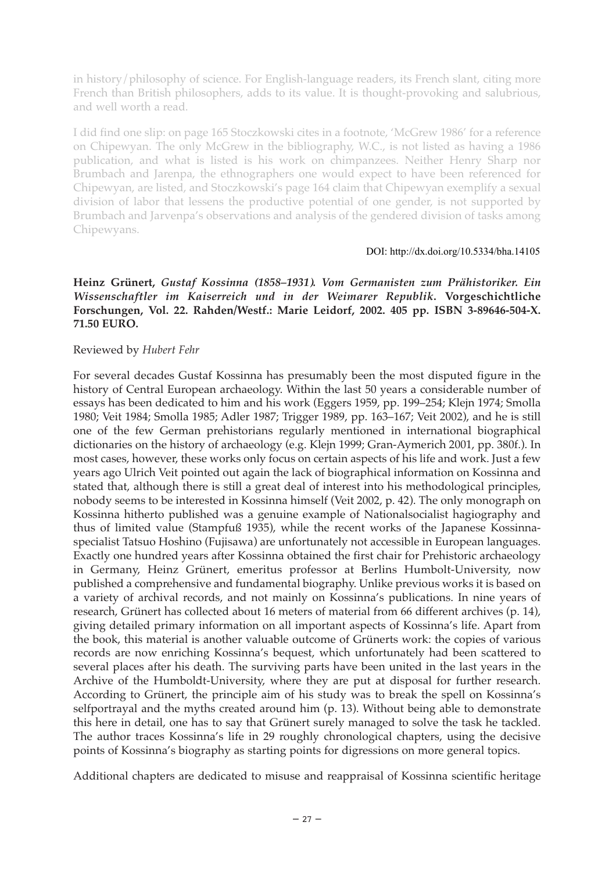in history/philosophy of science. For English-language readers, its French slant, citing more French than British philosophers, adds to its value. It is thought-provoking and salubrious, and well worth a read.

I did find one slip: on page 165 Stoczkowski cites in a footnote, 'McGrew 1986' for a reference on Chipewyan. The only McGrew in the bibliography, W.C., is not listed as having a 1986 publication, and what is listed is his work on chimpanzees. Neither Henry Sharp nor Brumbach and Jarenpa, the ethnographers one would expect to have been referenced for Chipewyan, are listed, and Stoczkowski's page 164 claim that Chipewyan exemplify a sexual division of labor that lessens the productive potential of one gender, is not supported by Brumbach and Jarvenpa's observations and analysis of the gendered division of tasks among Chipewyans.

## DOI: http://dx.doi.org/10.5334/bha.14105

# **Heinz Grünert,** *Gustaf Kossinna (1858–1931). Vom Germanisten zum Prähistoriker. Ein Wissenschaftler im Kaiserreich und in der Weimarer Republik***. Vorgeschichtliche Forschungen, Vol. 22. Rahden/Westf.: Marie Leidorf, 2002. 405 pp. ISBN 3-89646-504-X. 71.50 EURO.**

## Reviewed by *Hubert Fehr*

For several decades Gustaf Kossinna has presumably been the most disputed figure in the history of Central European archaeology. Within the last 50 years a considerable number of essays has been dedicated to him and his work (Eggers 1959, pp. 199–254; Klejn 1974; Smolla 1980; Veit 1984; Smolla 1985; Adler 1987; Trigger 1989, pp. 163–167; Veit 2002), and he is still one of the few German prehistorians regularly mentioned in international biographical dictionaries on the history of archaeology (e.g. Klejn 1999; Gran-Aymerich 2001, pp. 380f.). In most cases, however, these works only focus on certain aspects of his life and work. Just a few years ago Ulrich Veit pointed out again the lack of biographical information on Kossinna and stated that, although there is still a great deal of interest into his methodological principles, nobody seems to be interested in Kossinna himself (Veit 2002, p. 42). The only monograph on Kossinna hitherto published was a genuine example of Nationalsocialist hagiography and thus of limited value (Stampfuß 1935), while the recent works of the Japanese Kossinnaspecialist Tatsuo Hoshino (Fujisawa) are unfortunately not accessible in European languages. Exactly one hundred years after Kossinna obtained the first chair for Prehistoric archaeology in Germany, Heinz Grünert, emeritus professor at Berlins Humbolt-University, now published a comprehensive and fundamental biography. Unlike previous works it is based on a variety of archival records, and not mainly on Kossinna's publications. In nine years of research, Grünert has collected about 16 meters of material from 66 different archives (p. 14), giving detailed primary information on all important aspects of Kossinna's life. Apart from the book, this material is another valuable outcome of Grünerts work: the copies of various records are now enriching Kossinna's bequest, which unfortunately had been scattered to several places after his death. The surviving parts have been united in the last years in the Archive of the Humboldt-University, where they are put at disposal for further research. According to Grünert, the principle aim of his study was to break the spell on Kossinna's selfportrayal and the myths created around him (p. 13). Without being able to demonstrate this here in detail, one has to say that Grünert surely managed to solve the task he tackled. The author traces Kossinna's life in 29 roughly chronological chapters, using the decisive points of Kossinna's biography as starting points for digressions on more general topics.

Additional chapters are dedicated to misuse and reappraisal of Kossinna scientific heritage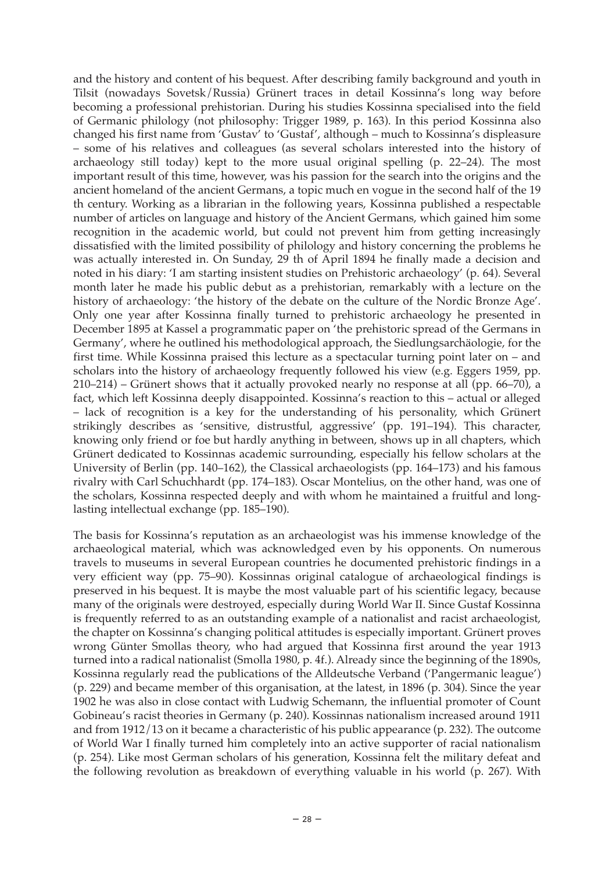and the history and content of his bequest. After describing family background and youth in Tilsit (nowadays Sovetsk/Russia) Grünert traces in detail Kossinna's long way before becoming a professional prehistorian. During his studies Kossinna specialised into the field of Germanic philology (not philosophy: Trigger 1989, p. 163). In this period Kossinna also changed his first name from 'Gustav' to 'Gustaf', although – much to Kossinna's displeasure – some of his relatives and colleagues (as several scholars interested into the history of archaeology still today) kept to the more usual original spelling (p. 22–24). The most important result of this time, however, was his passion for the search into the origins and the ancient homeland of the ancient Germans, a topic much en vogue in the second half of the 19 th century. Working as a librarian in the following years, Kossinna published a respectable number of articles on language and history of the Ancient Germans, which gained him some recognition in the academic world, but could not prevent him from getting increasingly dissatisfied with the limited possibility of philology and history concerning the problems he was actually interested in. On Sunday, 29 th of April 1894 he finally made a decision and noted in his diary: 'I am starting insistent studies on Prehistoric archaeology' (p. 64). Several month later he made his public debut as a prehistorian, remarkably with a lecture on the history of archaeology: 'the history of the debate on the culture of the Nordic Bronze Age'. Only one year after Kossinna finally turned to prehistoric archaeology he presented in December 1895 at Kassel a programmatic paper on 'the prehistoric spread of the Germans in Germany', where he outlined his methodological approach, the Siedlungsarchäologie, for the first time. While Kossinna praised this lecture as a spectacular turning point later on – and scholars into the history of archaeology frequently followed his view (e.g. Eggers 1959, pp. 210–214) – Grünert shows that it actually provoked nearly no response at all (pp. 66–70), a fact, which left Kossinna deeply disappointed. Kossinna's reaction to this – actual or alleged – lack of recognition is a key for the understanding of his personality, which Grünert strikingly describes as 'sensitive, distrustful, aggressive' (pp. 191–194). This character, knowing only friend or foe but hardly anything in between, shows up in all chapters, which Grünert dedicated to Kossinnas academic surrounding, especially his fellow scholars at the University of Berlin (pp. 140–162), the Classical archaeologists (pp. 164–173) and his famous rivalry with Carl Schuchhardt (pp. 174–183). Oscar Montelius, on the other hand, was one of the scholars, Kossinna respected deeply and with whom he maintained a fruitful and longlasting intellectual exchange (pp. 185–190).

The basis for Kossinna's reputation as an archaeologist was his immense knowledge of the archaeological material, which was acknowledged even by his opponents. On numerous travels to museums in several European countries he documented prehistoric findings in a very efficient way (pp. 75–90). Kossinnas original catalogue of archaeological findings is preserved in his bequest. It is maybe the most valuable part of his scientific legacy, because many of the originals were destroyed, especially during World War II. Since Gustaf Kossinna is frequently referred to as an outstanding example of a nationalist and racist archaeologist, the chapter on Kossinna's changing political attitudes is especially important. Grünert proves wrong Günter Smollas theory, who had argued that Kossinna first around the year 1913 turned into a radical nationalist (Smolla 1980, p. 4f.). Already since the beginning of the 1890s, Kossinna regularly read the publications of the Alldeutsche Verband ('Pangermanic league') (p. 229) and became member of this organisation, at the latest, in 1896 (p. 304). Since the year 1902 he was also in close contact with Ludwig Schemann, the influential promoter of Count Gobineau's racist theories in Germany (p. 240). Kossinnas nationalism increased around 1911 and from 1912/13 on it became a characteristic of his public appearance (p. 232). The outcome of World War I finally turned him completely into an active supporter of racial nationalism (p. 254). Like most German scholars of his generation, Kossinna felt the military defeat and the following revolution as breakdown of everything valuable in his world (p. 267). With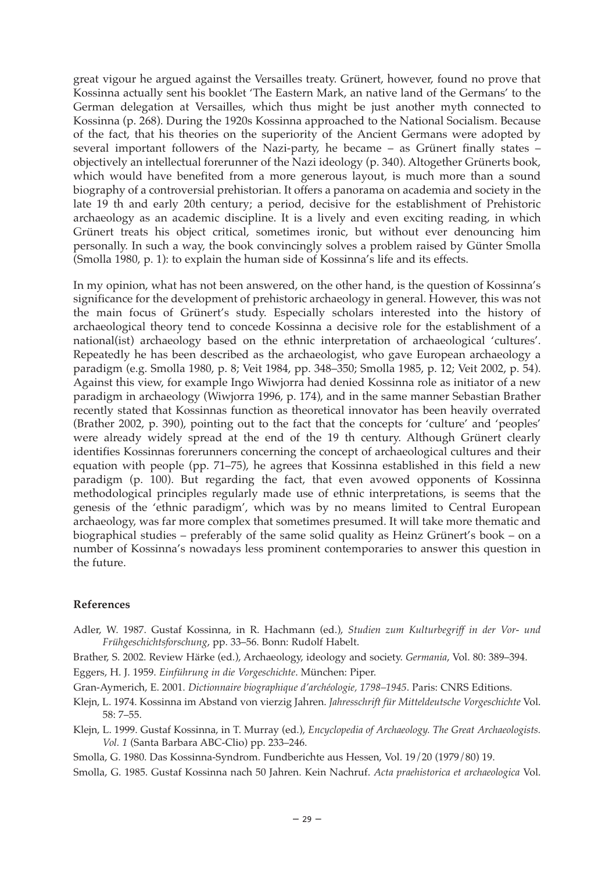great vigour he argued against the Versailles treaty. Grünert, however, found no prove that Kossinna actually sent his booklet 'The Eastern Mark, an native land of the Germans' to the German delegation at Versailles, which thus might be just another myth connected to Kossinna (p. 268). During the 1920s Kossinna approached to the National Socialism. Because of the fact, that his theories on the superiority of the Ancient Germans were adopted by several important followers of the Nazi-party, he became – as Grünert finally states – objectively an intellectual forerunner of the Nazi ideology (p. 340). Altogether Grünerts book, which would have benefited from a more generous layout, is much more than a sound biography of a controversial prehistorian. It offers a panorama on academia and society in the late 19 th and early 20th century; a period, decisive for the establishment of Prehistoric archaeology as an academic discipline. It is a lively and even exciting reading, in which Grünert treats his object critical, sometimes ironic, but without ever denouncing him personally. In such a way, the book convincingly solves a problem raised by Günter Smolla (Smolla 1980, p. 1): to explain the human side of Kossinna's life and its effects.

In my opinion, what has not been answered, on the other hand, is the question of Kossinna's significance for the development of prehistoric archaeology in general. However, this was not the main focus of Grünert's study. Especially scholars interested into the history of archaeological theory tend to concede Kossinna a decisive role for the establishment of a national(ist) archaeology based on the ethnic interpretation of archaeological 'cultures'. Repeatedly he has been described as the archaeologist, who gave European archaeology a paradigm (e.g. Smolla 1980, p. 8; Veit 1984, pp. 348–350; Smolla 1985, p. 12; Veit 2002, p. 54). Against this view, for example Ingo Wiwjorra had denied Kossinna role as initiator of a new paradigm in archaeology (Wiwjorra 1996, p. 174), and in the same manner Sebastian Brather recently stated that Kossinnas function as theoretical innovator has been heavily overrated (Brather 2002, p. 390), pointing out to the fact that the concepts for 'culture' and 'peoples' were already widely spread at the end of the 19 th century. Although Grünert clearly identifies Kossinnas forerunners concerning the concept of archaeological cultures and their equation with people (pp. 71–75), he agrees that Kossinna established in this field a new paradigm (p. 100). But regarding the fact, that even avowed opponents of Kossinna methodological principles regularly made use of ethnic interpretations, is seems that the genesis of the 'ethnic paradigm', which was by no means limited to Central European archaeology, was far more complex that sometimes presumed. It will take more thematic and biographical studies – preferably of the same solid quality as Heinz Grünert's book – on a number of Kossinna's nowadays less prominent contemporaries to answer this question in the future.

#### **References**

Adler, W. 1987. Gustaf Kossinna, in R. Hachmann (ed.), *Studien zum Kulturbegriff in der Vor- und Frühgeschichtsforschung*, pp. 33–56. Bonn: Rudolf Habelt.

Brather, S. 2002. Review Härke (ed.), Archaeology, ideology and society. *Germania*, Vol. 80: 389–394. Eggers, H. J. 1959. *Einführung in die Vorgeschichte*. München: Piper.

Gran-Aymerich, E. 2001. *Dictionnaire biographique d'archéologie, 1798–1945*. Paris: CNRS Editions.

Klejn, L. 1974. Kossinna im Abstand von vierzig Jahren. *Jahresschrift für Mitteldeutsche Vorgeschichte* Vol. 58: 7–55.

Klejn, L. 1999. Gustaf Kossinna, in T. Murray (ed.), *Encyclopedia of Archaeology. The Great Archaeologists. Vol. 1* (Santa Barbara ABC-Clio) pp. 233–246.

Smolla, G. 1980. Das Kossinna-Syndrom. Fundberichte aus Hessen, Vol. 19/20 (1979/80) 19.

Smolla, G. 1985. Gustaf Kossinna nach 50 Jahren. Kein Nachruf. *Acta praehistorica et archaeologica* Vol.